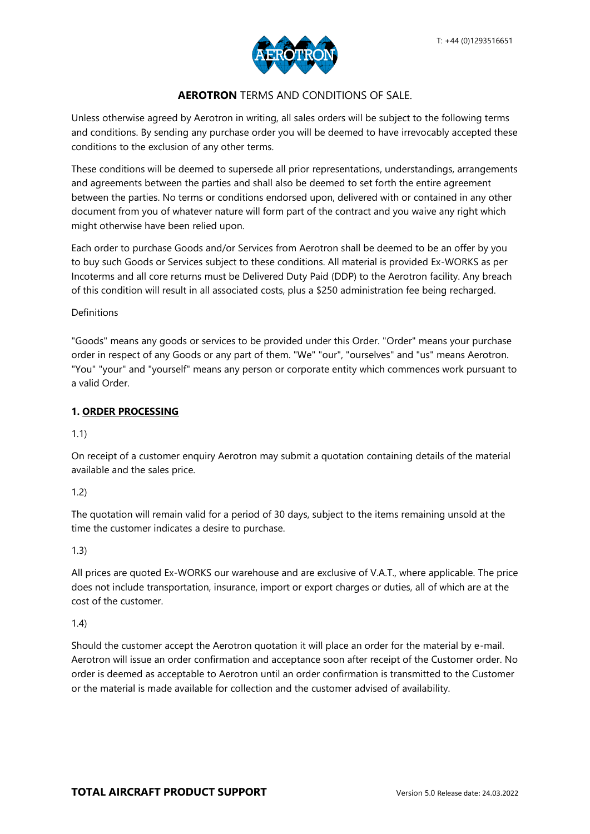

# **AEROTRON** TERMS AND CONDITIONS OF SALE.

Unless otherwise agreed by Aerotron in writing, all sales orders will be subject to the following terms and conditions. By sending any purchase order you will be deemed to have irrevocably accepted these conditions to the exclusion of any other terms.

These conditions will be deemed to supersede all prior representations, understandings, arrangements and agreements between the parties and shall also be deemed to set forth the entire agreement between the parties. No terms or conditions endorsed upon, delivered with or contained in any other document from you of whatever nature will form part of the contract and you waive any right which might otherwise have been relied upon.

Each order to purchase Goods and/or Services from Aerotron shall be deemed to be an offer by you to buy such Goods or Services subject to these conditions. All material is provided Ex-WORKS as per Incoterms and all core returns must be Delivered Duty Paid (DDP) to the Aerotron facility. Any breach of this condition will result in all associated costs, plus a \$250 administration fee being recharged.

#### Definitions

"Goods" means any goods or services to be provided under this Order. "Order" means your purchase order in respect of any Goods or any part of them. "We" "our", "ourselves" and "us" means Aerotron. "You" "your" and "yourself" means any person or corporate entity which commences work pursuant to a valid Order.

#### **1. ORDER PROCESSING**

1.1)

On receipt of a customer enquiry Aerotron may submit a quotation containing details of the material available and the sales price.

1.2)

The quotation will remain valid for a period of 30 days, subject to the items remaining unsold at the time the customer indicates a desire to purchase.

1.3)

All prices are quoted Ex-WORKS our warehouse and are exclusive of V.A.T., where applicable. The price does not include transportation, insurance, import or export charges or duties, all of which are at the cost of the customer.

1.4)

Should the customer accept the Aerotron quotation it will place an order for the material by e-mail. Aerotron will issue an order confirmation and acceptance soon after receipt of the Customer order. No order is deemed as acceptable to Aerotron until an order confirmation is transmitted to the Customer or the material is made available for collection and the customer advised of availability.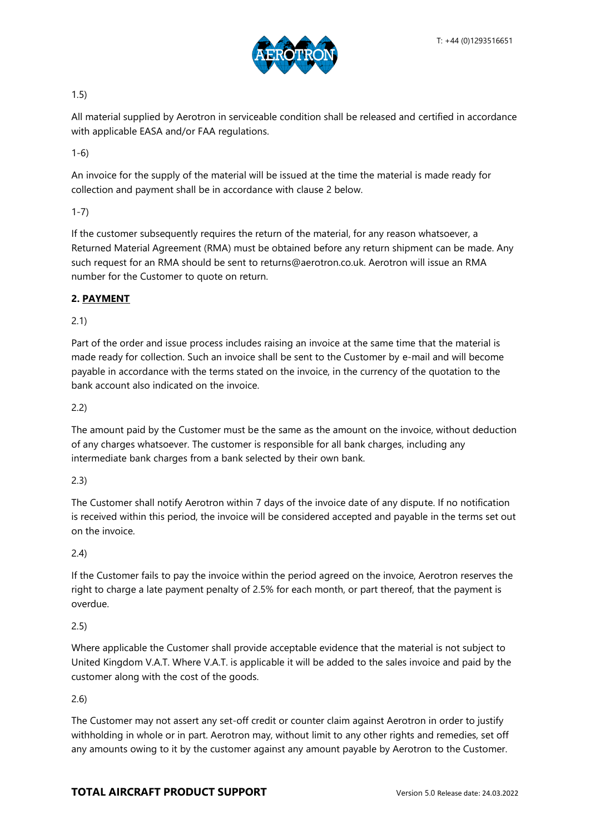

1.5)

All material supplied by Aerotron in serviceable condition shall be released and certified in accordance with applicable EASA and/or FAA regulations.

1-6)

An invoice for the supply of the material will be issued at the time the material is made ready for collection and payment shall be in accordance with clause 2 below.

1-7)

If the customer subsequently requires the return of the material, for any reason whatsoever, a Returned Material Agreement (RMA) must be obtained before any return shipment can be made. Any such request for an RMA should be sent to returns@aerotron.co.uk. Aerotron will issue an RMA number for the Customer to quote on return.

### **2. PAYMENT**

2.1)

Part of the order and issue process includes raising an invoice at the same time that the material is made ready for collection. Such an invoice shall be sent to the Customer by e-mail and will become payable in accordance with the terms stated on the invoice, in the currency of the quotation to the bank account also indicated on the invoice.

2.2)

The amount paid by the Customer must be the same as the amount on the invoice, without deduction of any charges whatsoever. The customer is responsible for all bank charges, including any intermediate bank charges from a bank selected by their own bank.

2.3)

The Customer shall notify Aerotron within 7 days of the invoice date of any dispute. If no notification is received within this period, the invoice will be considered accepted and payable in the terms set out on the invoice.

2.4)

If the Customer fails to pay the invoice within the period agreed on the invoice, Aerotron reserves the right to charge a late payment penalty of 2.5% for each month, or part thereof, that the payment is overdue.

2.5)

Where applicable the Customer shall provide acceptable evidence that the material is not subject to United Kingdom V.A.T. Where V.A.T. is applicable it will be added to the sales invoice and paid by the customer along with the cost of the goods.

2.6)

The Customer may not assert any set-off credit or counter claim against Aerotron in order to justify withholding in whole or in part. Aerotron may, without limit to any other rights and remedies, set off any amounts owing to it by the customer against any amount payable by Aerotron to the Customer.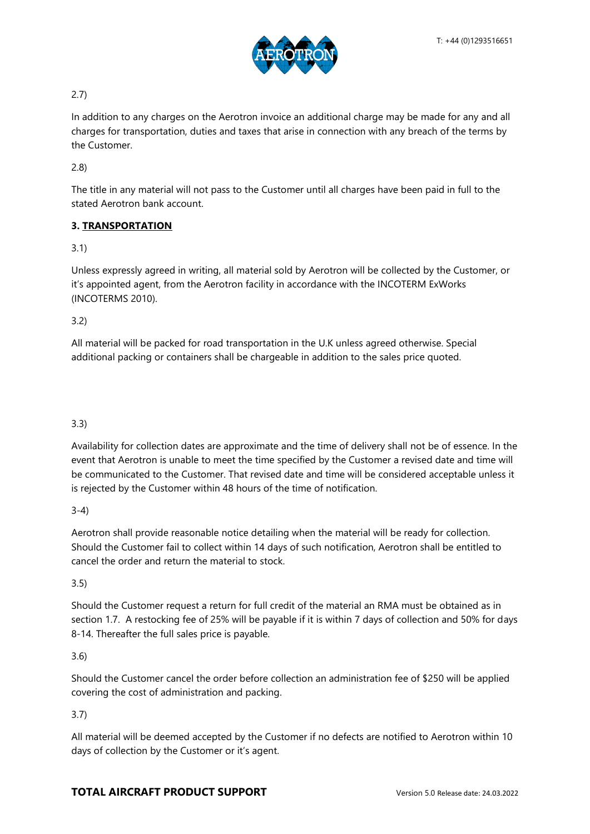

## 2.7)

In addition to any charges on the Aerotron invoice an additional charge may be made for any and all charges for transportation, duties and taxes that arise in connection with any breach of the terms by the Customer.

2.8)

The title in any material will not pass to the Customer until all charges have been paid in full to the stated Aerotron bank account.

# **3. TRANSPORTATION**

# 3.1)

Unless expressly agreed in writing, all material sold by Aerotron will be collected by the Customer, or it's appointed agent, from the Aerotron facility in accordance with the INCOTERM ExWorks (INCOTERMS 2010).

### 3.2)

All material will be packed for road transportation in the U.K unless agreed otherwise. Special additional packing or containers shall be chargeable in addition to the sales price quoted.

# 3.3)

Availability for collection dates are approximate and the time of delivery shall not be of essence. In the event that Aerotron is unable to meet the time specified by the Customer a revised date and time will be communicated to the Customer. That revised date and time will be considered acceptable unless it is rejected by the Customer within 48 hours of the time of notification.

3-4)

Aerotron shall provide reasonable notice detailing when the material will be ready for collection. Should the Customer fail to collect within 14 days of such notification, Aerotron shall be entitled to cancel the order and return the material to stock.

### 3.5)

Should the Customer request a return for full credit of the material an RMA must be obtained as in section 1.7. A restocking fee of 25% will be payable if it is within 7 days of collection and 50% for days 8-14. Thereafter the full sales price is payable.

### 3.6)

Should the Customer cancel the order before collection an administration fee of \$250 will be applied covering the cost of administration and packing.

# 3.7)

All material will be deemed accepted by the Customer if no defects are notified to Aerotron within 10 days of collection by the Customer or it's agent.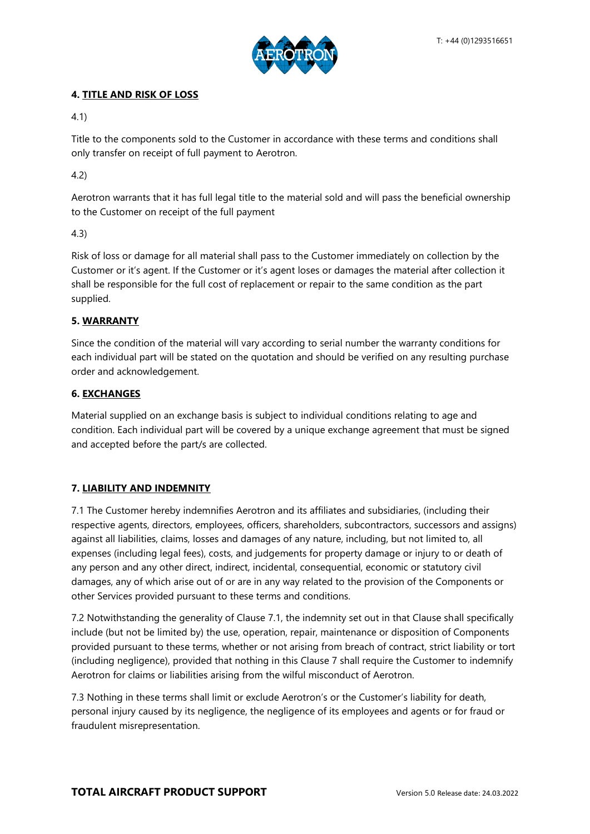

### **4. TITLE AND RISK OF LOSS**

4.1)

Title to the components sold to the Customer in accordance with these terms and conditions shall only transfer on receipt of full payment to Aerotron.

4.2)

Aerotron warrants that it has full legal title to the material sold and will pass the beneficial ownership to the Customer on receipt of the full payment

4.3)

Risk of loss or damage for all material shall pass to the Customer immediately on collection by the Customer or it's agent. If the Customer or it's agent loses or damages the material after collection it shall be responsible for the full cost of replacement or repair to the same condition as the part supplied.

# **5. WARRANTY**

Since the condition of the material will vary according to serial number the warranty conditions for each individual part will be stated on the quotation and should be verified on any resulting purchase order and acknowledgement.

### **6. EXCHANGES**

Material supplied on an exchange basis is subject to individual conditions relating to age and condition. Each individual part will be covered by a unique exchange agreement that must be signed and accepted before the part/s are collected.

# **7. LIABILITY AND INDEMNITY**

7.1 The Customer hereby indemnifies Aerotron and its affiliates and subsidiaries, (including their respective agents, directors, employees, officers, shareholders, subcontractors, successors and assigns) against all liabilities, claims, losses and damages of any nature, including, but not limited to, all expenses (including legal fees), costs, and judgements for property damage or injury to or death of any person and any other direct, indirect, incidental, consequential, economic or statutory civil damages, any of which arise out of or are in any way related to the provision of the Components or other Services provided pursuant to these terms and conditions.

7.2 Notwithstanding the generality of Clause 7.1, the indemnity set out in that Clause shall specifically include (but not be limited by) the use, operation, repair, maintenance or disposition of Components provided pursuant to these terms, whether or not arising from breach of contract, strict liability or tort (including negligence), provided that nothing in this Clause 7 shall require the Customer to indemnify Aerotron for claims or liabilities arising from the wilful misconduct of Aerotron.

7.3 Nothing in these terms shall limit or exclude Aerotron's or the Customer's liability for death, personal injury caused by its negligence, the negligence of its employees and agents or for fraud or fraudulent misrepresentation.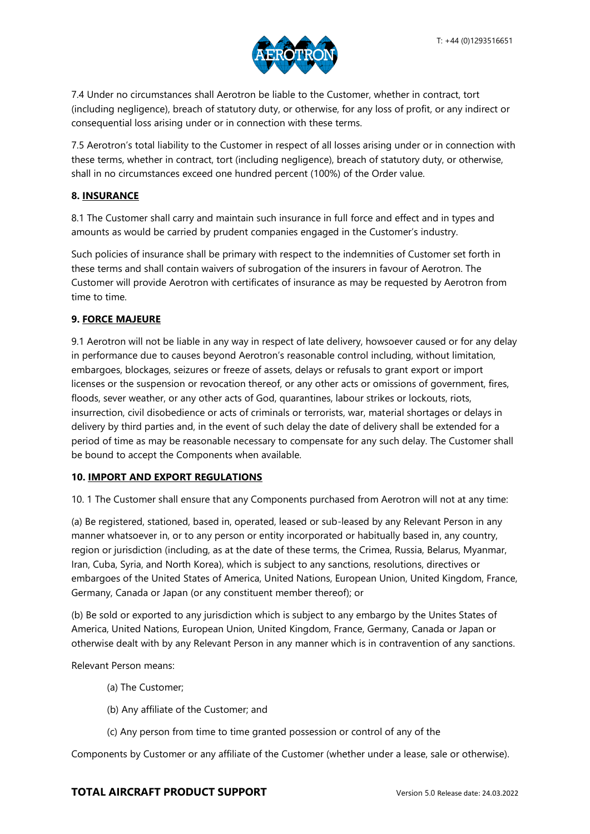

7.4 Under no circumstances shall Aerotron be liable to the Customer, whether in contract, tort (including negligence), breach of statutory duty, or otherwise, for any loss of profit, or any indirect or consequential loss arising under or in connection with these terms.

7.5 Aerotron's total liability to the Customer in respect of all losses arising under or in connection with these terms, whether in contract, tort (including negligence), breach of statutory duty, or otherwise, shall in no circumstances exceed one hundred percent (100%) of the Order value.

### **8. INSURANCE**

8.1 The Customer shall carry and maintain such insurance in full force and effect and in types and amounts as would be carried by prudent companies engaged in the Customer's industry.

Such policies of insurance shall be primary with respect to the indemnities of Customer set forth in these terms and shall contain waivers of subrogation of the insurers in favour of Aerotron. The Customer will provide Aerotron with certificates of insurance as may be requested by Aerotron from time to time.

### **9. FORCE MAJEURE**

9.1 Aerotron will not be liable in any way in respect of late delivery, howsoever caused or for any delay in performance due to causes beyond Aerotron's reasonable control including, without limitation, embargoes, blockages, seizures or freeze of assets, delays or refusals to grant export or import licenses or the suspension or revocation thereof, or any other acts or omissions of government, fires, floods, sever weather, or any other acts of God, quarantines, labour strikes or lockouts, riots, insurrection, civil disobedience or acts of criminals or terrorists, war, material shortages or delays in delivery by third parties and, in the event of such delay the date of delivery shall be extended for a period of time as may be reasonable necessary to compensate for any such delay. The Customer shall be bound to accept the Components when available.

### **10. IMPORT AND EXPORT REGULATIONS**

10. 1 The Customer shall ensure that any Components purchased from Aerotron will not at any time:

(a) Be registered, stationed, based in, operated, leased or sub-leased by any Relevant Person in any manner whatsoever in, or to any person or entity incorporated or habitually based in, any country, region or jurisdiction (including, as at the date of these terms, the Crimea, Russia, Belarus, Myanmar, Iran, Cuba, Syria, and North Korea), which is subject to any sanctions, resolutions, directives or embargoes of the United States of America, United Nations, European Union, United Kingdom, France, Germany, Canada or Japan (or any constituent member thereof); or

(b) Be sold or exported to any jurisdiction which is subject to any embargo by the Unites States of America, United Nations, European Union, United Kingdom, France, Germany, Canada or Japan or otherwise dealt with by any Relevant Person in any manner which is in contravention of any sanctions.

Relevant Person means:

- (a) The Customer;
- (b) Any affiliate of the Customer; and
- (c) Any person from time to time granted possession or control of any of the

Components by Customer or any affiliate of the Customer (whether under a lease, sale or otherwise).

### **TOTAL AIRCRAFT PRODUCT SUPPORT** Version 5.0 Release date: 24.03.2022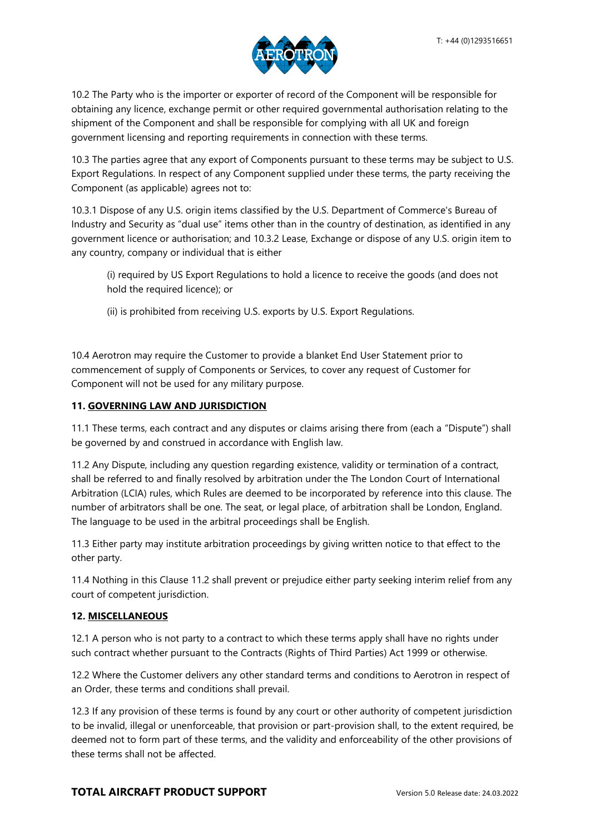

10.2 The Party who is the importer or exporter of record of the Component will be responsible for obtaining any licence, exchange permit or other required governmental authorisation relating to the shipment of the Component and shall be responsible for complying with all UK and foreign government licensing and reporting requirements in connection with these terms.

10.3 The parties agree that any export of Components pursuant to these terms may be subject to U.S. Export Regulations. In respect of any Component supplied under these terms, the party receiving the Component (as applicable) agrees not to:

10.3.1 Dispose of any U.S. origin items classified by the U.S. Department of Commerce's Bureau of Industry and Security as "dual use" items other than in the country of destination, as identified in any government licence or authorisation; and 10.3.2 Lease, Exchange or dispose of any U.S. origin item to any country, company or individual that is either

(i) required by US Export Regulations to hold a licence to receive the goods (and does not hold the required licence); or

(ii) is prohibited from receiving U.S. exports by U.S. Export Regulations.

10.4 Aerotron may require the Customer to provide a blanket End User Statement prior to commencement of supply of Components or Services, to cover any request of Customer for Component will not be used for any military purpose.

### **11. GOVERNING LAW AND JURISDICTION**

11.1 These terms, each contract and any disputes or claims arising there from (each a "Dispute") shall be governed by and construed in accordance with English law.

11.2 Any Dispute, including any question regarding existence, validity or termination of a contract, shall be referred to and finally resolved by arbitration under the The London Court of International Arbitration (LCIA) rules, which Rules are deemed to be incorporated by reference into this clause. The number of arbitrators shall be one. The seat, or legal place, of arbitration shall be London, England. The language to be used in the arbitral proceedings shall be English.

11.3 Either party may institute arbitration proceedings by giving written notice to that effect to the other party.

11.4 Nothing in this Clause 11.2 shall prevent or prejudice either party seeking interim relief from any court of competent jurisdiction.

### **12. MISCELLANEOUS**

12.1 A person who is not party to a contract to which these terms apply shall have no rights under such contract whether pursuant to the Contracts (Rights of Third Parties) Act 1999 or otherwise.

12.2 Where the Customer delivers any other standard terms and conditions to Aerotron in respect of an Order, these terms and conditions shall prevail.

12.3 If any provision of these terms is found by any court or other authority of competent jurisdiction to be invalid, illegal or unenforceable, that provision or part-provision shall, to the extent required, be deemed not to form part of these terms, and the validity and enforceability of the other provisions of these terms shall not be affected.

# **TOTAL AIRCRAFT PRODUCT SUPPORT** Version 5.0 Release date: 24.03.2022